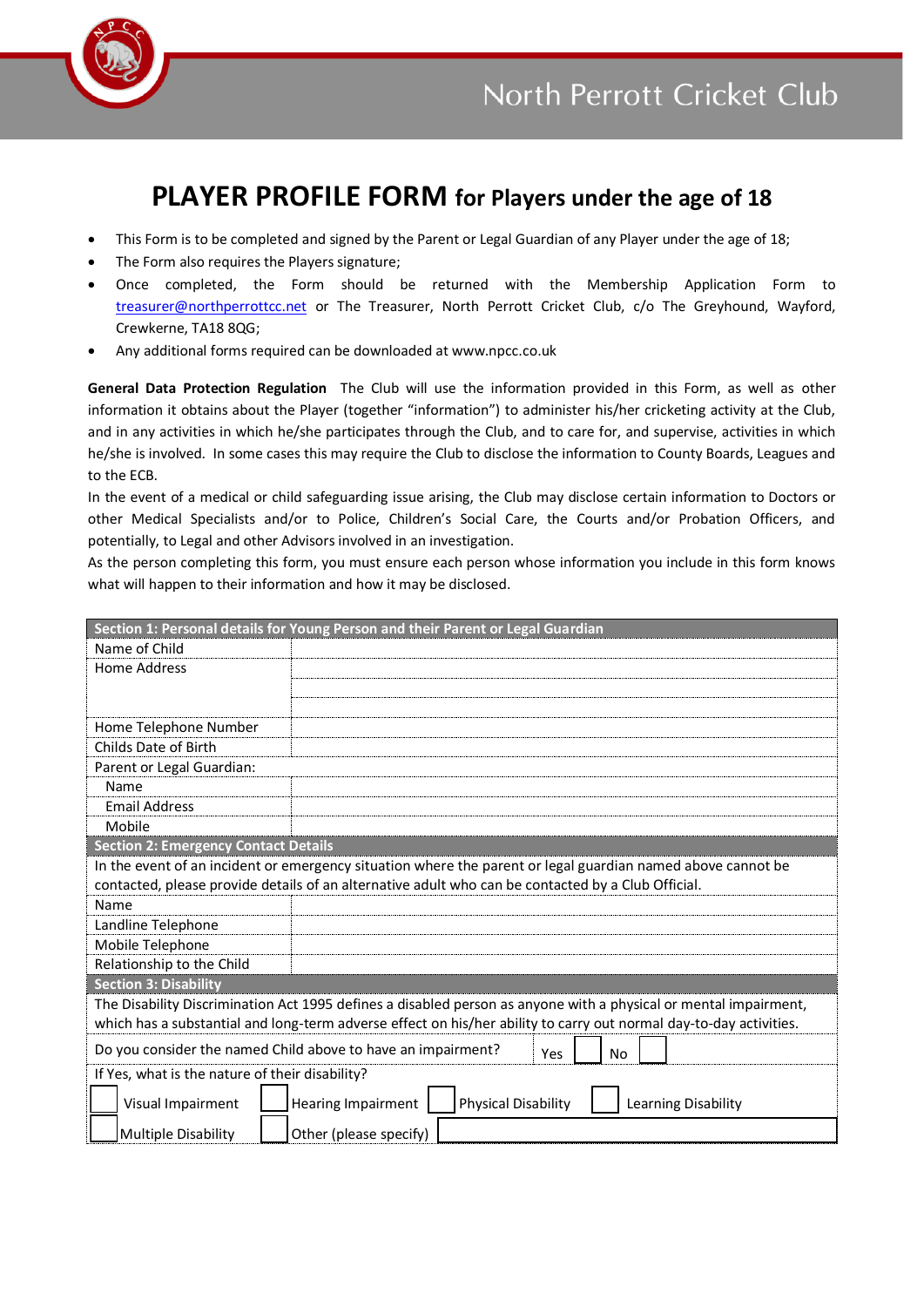

## **PLAYER PROFILE FORM for Players under the age of 18**

- This Form is to be completed and signed by the Parent or Legal Guardian of any Player under the age of 18;
- The Form also requires the Players signature;
- Once completed, the Form should be returned with the Membership Application Form to [treasurer@northperrottcc.net](mailto:treasurer@northperrottcc.net) or The Treasurer, North Perrott Cricket Club, c/o The Greyhound, Wayford, Crewkerne, TA18 8QG;
- Any additional forms required can be downloaded at www.npcc.co.uk

**General Data Protection Regulation** The Club will use the information provided in this Form, as well as other information it obtains about the Player (together "information") to administer his/her cricketing activity at the Club, and in any activities in which he/she participates through the Club, and to care for, and supervise, activities in which he/she is involved. In some cases this may require the Club to disclose the information to County Boards, Leagues and to the ECB.

In the event of a medical or child safeguarding issue arising, the Club may disclose certain information to Doctors or other Medical Specialists and/or to Police, Children's Social Care, the Courts and/or Probation Officers, and potentially, to Legal and other Advisors involved in an investigation.

As the person completing this form, you must ensure each person whose information you include in this form knows what will happen to their information and how it may be disclosed.

| Section 1: Personal details for Young Person and their Parent or Legal Guardian                                    |                                                                         |  |
|--------------------------------------------------------------------------------------------------------------------|-------------------------------------------------------------------------|--|
| Name of Child                                                                                                      |                                                                         |  |
| Home Address                                                                                                       |                                                                         |  |
|                                                                                                                    |                                                                         |  |
|                                                                                                                    |                                                                         |  |
| Home Telephone Number                                                                                              |                                                                         |  |
| Childs Date of Birth                                                                                               |                                                                         |  |
| Parent or Legal Guardian:                                                                                          |                                                                         |  |
| Name                                                                                                               |                                                                         |  |
| <b>Email Address</b>                                                                                               |                                                                         |  |
| Mobile                                                                                                             |                                                                         |  |
| <b>Section 2: Emergency Contact Details</b>                                                                        |                                                                         |  |
| In the event of an incident or emergency situation where the parent or legal guardian named above cannot be        |                                                                         |  |
| contacted, please provide details of an alternative adult who can be contacted by a Club Official.                 |                                                                         |  |
| Name                                                                                                               |                                                                         |  |
| Landline Telephone                                                                                                 |                                                                         |  |
| Mobile Telephone                                                                                                   |                                                                         |  |
| Relationship to the Child                                                                                          |                                                                         |  |
| <b>Section 3: Disability</b>                                                                                       |                                                                         |  |
| The Disability Discrimination Act 1995 defines a disabled person as anyone with a physical or mental impairment,   |                                                                         |  |
| which has a substantial and long-term adverse effect on his/her ability to carry out normal day-to-day activities. |                                                                         |  |
| Do you consider the named Child above to have an impairment?<br>Yes<br>No                                          |                                                                         |  |
| If Yes, what is the nature of their disability?                                                                    |                                                                         |  |
| Visual Impairment                                                                                                  | <b>Physical Disability</b><br>Hearing Impairment<br>Learning Disability |  |
| Multiple Disability                                                                                                | Other (please specify)                                                  |  |